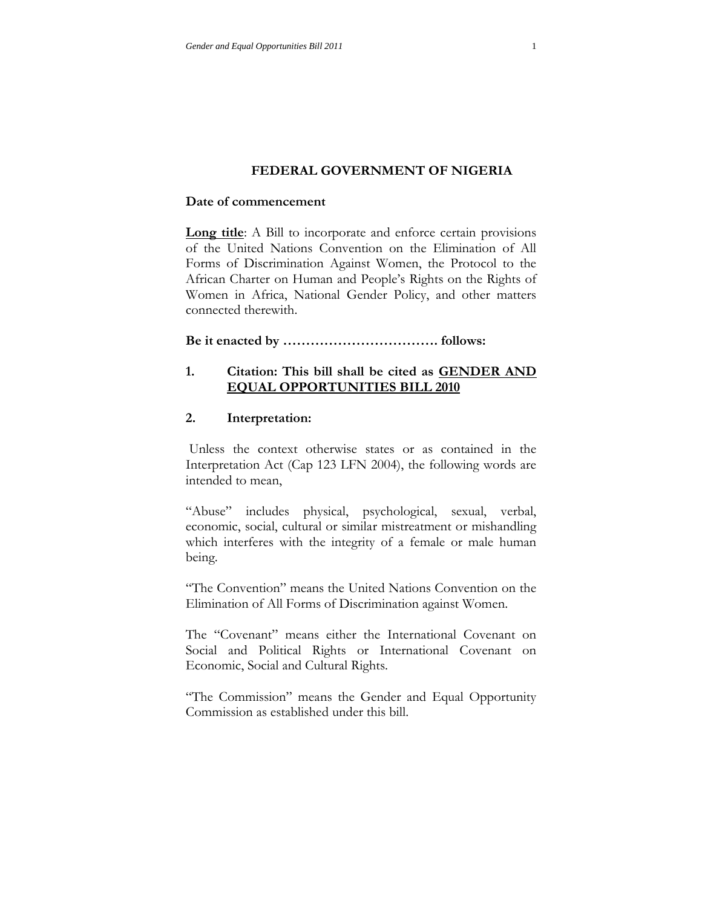### **FEDERAL GOVERNMENT OF NIGERIA**

### **Date of commencement**

**Long title**: A Bill to incorporate and enforce certain provisions of the United Nations Convention on the Elimination of All Forms of Discrimination Against Women, the Protocol to the African Charter on Human and People's Rights on the Rights of Women in Africa, National Gender Policy, and other matters connected therewith.

# **Be it enacted by ……………………………. follows:**

## **1. Citation: This bill shall be cited as GENDER AND EQUAL OPPORTUNITIES BILL 2010**

## **2. Interpretation:**

Unless the context otherwise states or as contained in the Interpretation Act (Cap 123 LFN 2004), the following words are intended to mean,

"Abuse" includes physical, psychological, sexual, verbal, economic, social, cultural or similar mistreatment or mishandling which interferes with the integrity of a female or male human being.

"The Convention" means the United Nations Convention on the Elimination of All Forms of Discrimination against Women.

The "Covenant" means either the International Covenant on Social and Political Rights or International Covenant on Economic, Social and Cultural Rights.

"The Commission" means the Gender and Equal Opportunity Commission as established under this bill.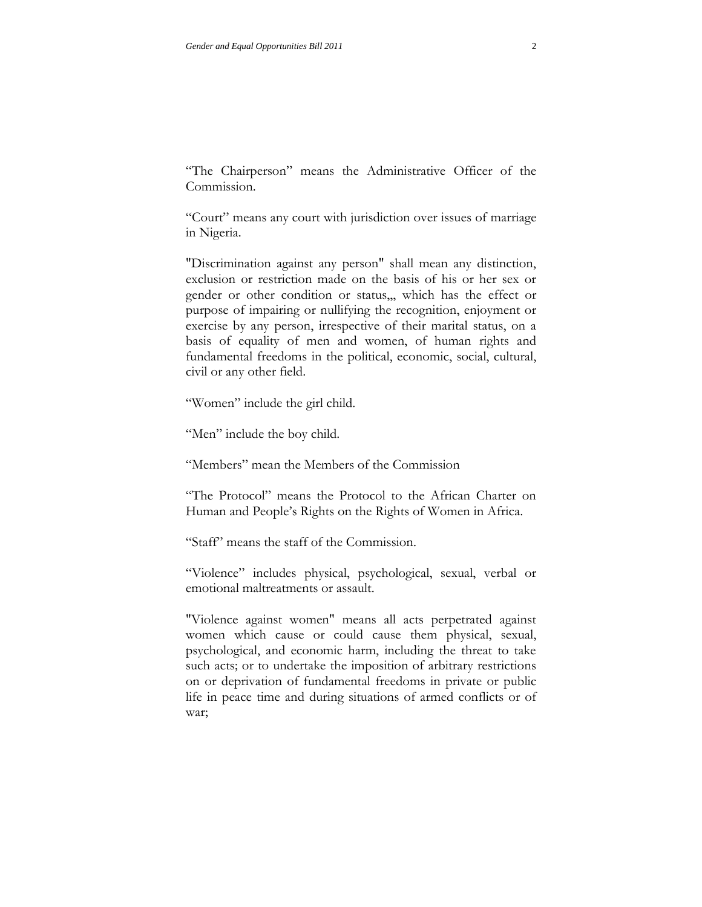"The Chairperson" means the Administrative Officer of the Commission.

"Court" means any court with jurisdiction over issues of marriage in Nigeria.

"Discrimination against any person" shall mean any distinction, exclusion or restriction made on the basis of his or her sex or gender or other condition or status,,, which has the effect or purpose of impairing or nullifying the recognition, enjoyment or exercise by any person, irrespective of their marital status, on a basis of equality of men and women, of human rights and fundamental freedoms in the political, economic, social, cultural, civil or any other field.

"Women" include the girl child.

"Men" include the boy child.

"Members" mean the Members of the Commission

"The Protocol" means the Protocol to the African Charter on Human and People's Rights on the Rights of Women in Africa.

"Staff" means the staff of the Commission.

"Violence" includes physical, psychological, sexual, verbal or emotional maltreatments or assault.

"Violence against women" means all acts perpetrated against women which cause or could cause them physical, sexual, psychological, and economic harm, including the threat to take such acts; or to undertake the imposition of arbitrary restrictions on or deprivation of fundamental freedoms in private or public life in peace time and during situations of armed conflicts or of war;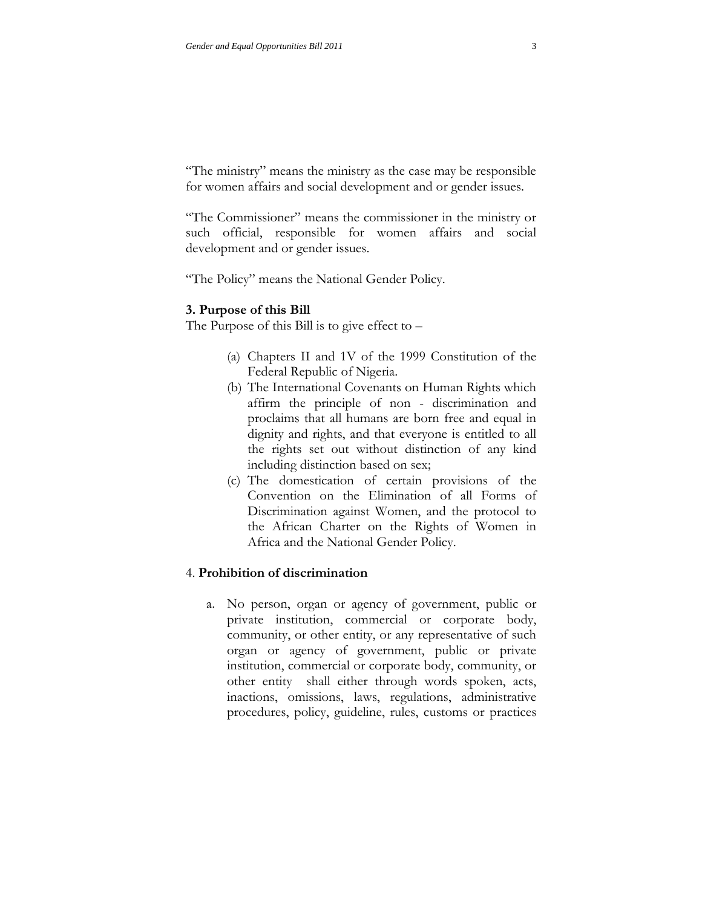"The ministry" means the ministry as the case may be responsible for women affairs and social development and or gender issues.

"The Commissioner" means the commissioner in the ministry or such official, responsible for women affairs and social development and or gender issues.

"The Policy" means the National Gender Policy.

#### **3. Purpose of this Bill**

The Purpose of this Bill is to give effect to –

- (a) Chapters II and 1V of the 1999 Constitution of the Federal Republic of Nigeria.
- (b) The International Covenants on Human Rights which affirm the principle of non - discrimination and proclaims that all humans are born free and equal in dignity and rights, and that everyone is entitled to all the rights set out without distinction of any kind including distinction based on sex;
- (c) The domestication of certain provisions of the Convention on the Elimination of all Forms of Discrimination against Women, and the protocol to the African Charter on the Rights of Women in Africa and the National Gender Policy.

## 4. **Prohibition of discrimination**

a. No person, organ or agency of government, public or private institution, commercial or corporate body, community, or other entity, or any representative of such organ or agency of government, public or private institution, commercial or corporate body, community, or other entity shall either through words spoken, acts, inactions, omissions, laws, regulations, administrative procedures, policy, guideline, rules, customs or practices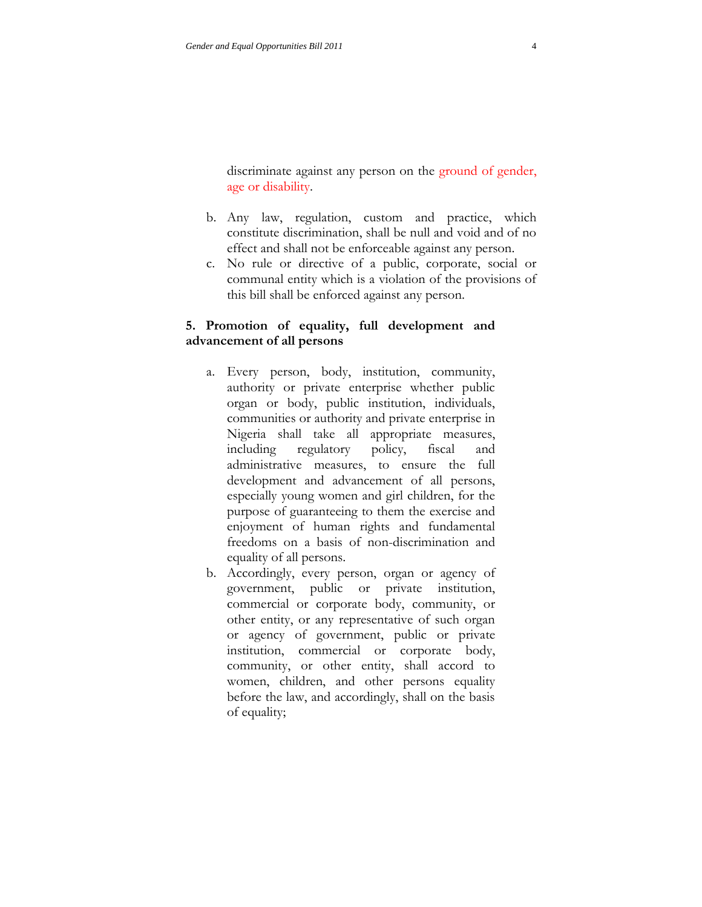discriminate against any person on the ground of gender, age or disability.

- b. Any law, regulation, custom and practice, which constitute discrimination, shall be null and void and of no effect and shall not be enforceable against any person.
- c. No rule or directive of a public, corporate, social or communal entity which is a violation of the provisions of this bill shall be enforced against any person.

# **5. Promotion of equality, full development and advancement of all persons**

- a. Every person, body, institution, community, authority or private enterprise whether public organ or body, public institution, individuals, communities or authority and private enterprise in Nigeria shall take all appropriate measures, including regulatory policy, fiscal and administrative measures, to ensure the full development and advancement of all persons, especially young women and girl children, for the purpose of guaranteeing to them the exercise and enjoyment of human rights and fundamental freedoms on a basis of non-discrimination and equality of all persons.
- b. Accordingly, every person, organ or agency of government, public or private institution, commercial or corporate body, community, or other entity, or any representative of such organ or agency of government, public or private institution, commercial or corporate body, community, or other entity, shall accord to women, children, and other persons equality before the law, and accordingly, shall on the basis of equality;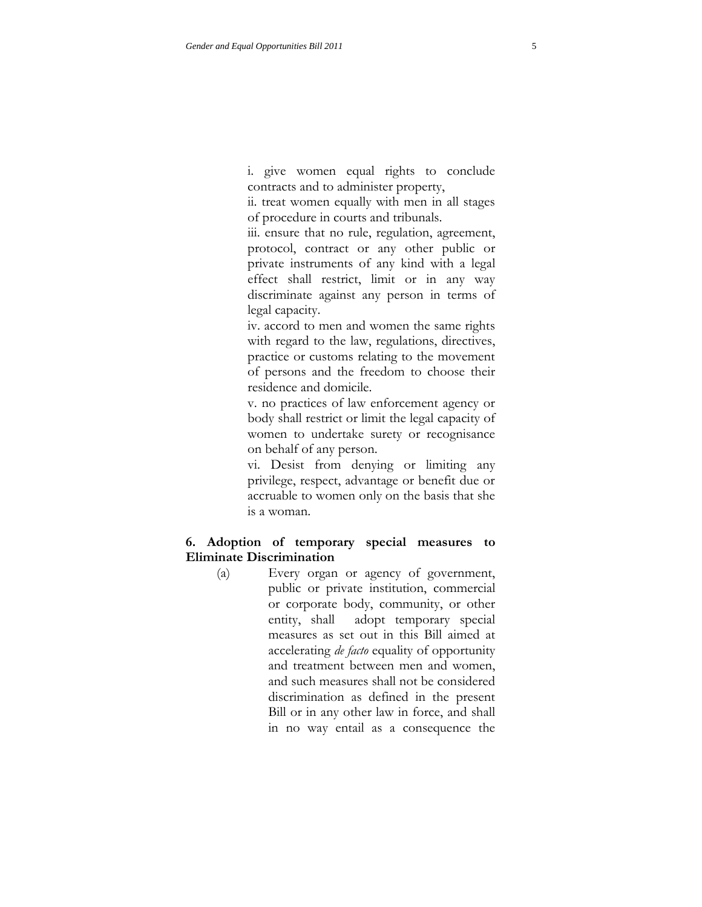i. give women equal rights to conclude contracts and to administer property,

ii. treat women equally with men in all stages of procedure in courts and tribunals.

iii. ensure that no rule, regulation, agreement, protocol, contract or any other public or private instruments of any kind with a legal effect shall restrict, limit or in any way discriminate against any person in terms of legal capacity.

iv. accord to men and women the same rights with regard to the law, regulations, directives, practice or customs relating to the movement of persons and the freedom to choose their residence and domicile.

v. no practices of law enforcement agency or body shall restrict or limit the legal capacity of women to undertake surety or recognisance on behalf of any person.

vi. Desist from denying or limiting any privilege, respect, advantage or benefit due or accruable to women only on the basis that she is a woman.

## **6. Adoption of temporary special measures to Eliminate Discrimination**

 (a) Every organ or agency of government, public or private institution, commercial or corporate body, community, or other entity, shall adopt temporary special measures as set out in this Bill aimed at accelerating *de facto* equality of opportunity and treatment between men and women, and such measures shall not be considered discrimination as defined in the present Bill or in any other law in force, and shall in no way entail as a consequence the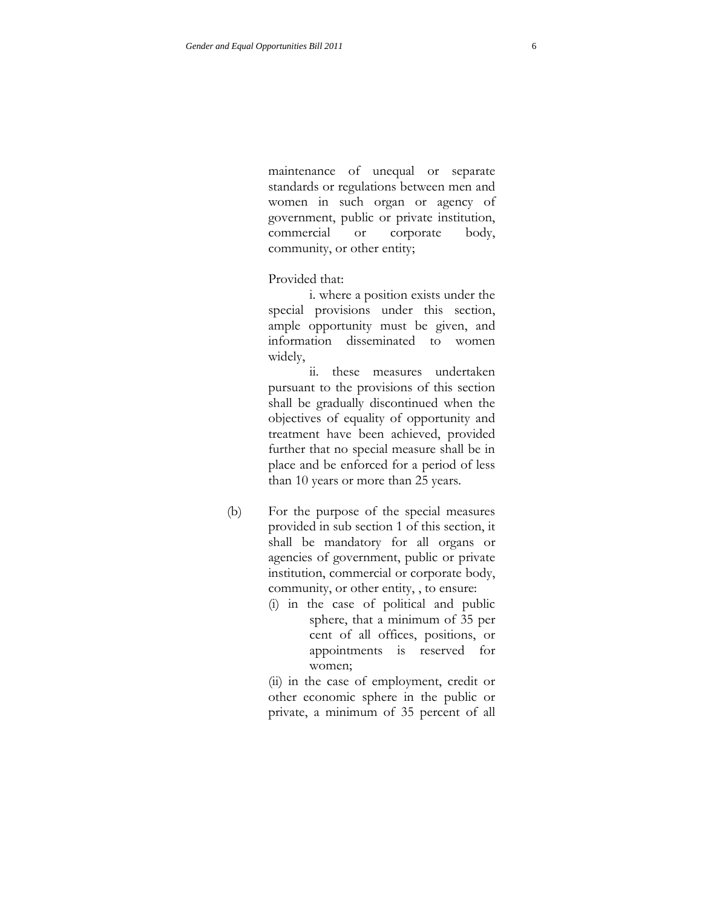maintenance of unequal or separate standards or regulations between men and women in such organ or agency of government, public or private institution, commercial or corporate body, community, or other entity;

Provided that:

i. where a position exists under the special provisions under this section, ample opportunity must be given, and information disseminated to women widely,

ii. these measures undertaken pursuant to the provisions of this section shall be gradually discontinued when the objectives of equality of opportunity and treatment have been achieved, provided further that no special measure shall be in place and be enforced for a period of less than 10 years or more than 25 years.

- (b) For the purpose of the special measures provided in sub section 1 of this section, it shall be mandatory for all organs or agencies of government, public or private institution, commercial or corporate body, community, or other entity, , to ensure:
	- (i) in the case of political and public sphere, that a minimum of 35 per cent of all offices, positions, or appointments is reserved for women;

(ii) in the case of employment, credit or other economic sphere in the public or private, a minimum of 35 percent of all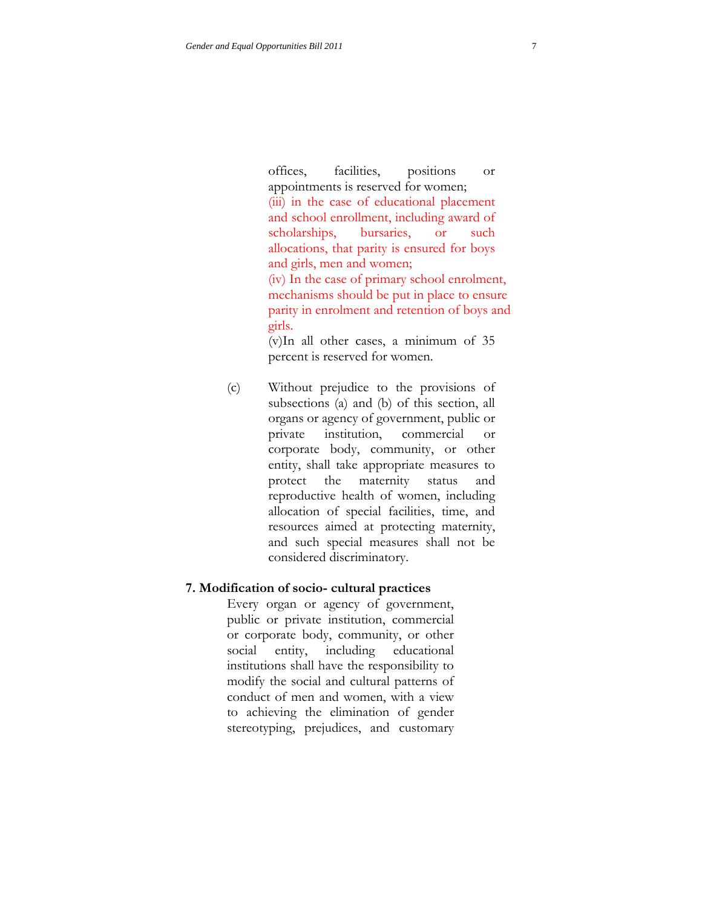offices, facilities, positions or appointments is reserved for women; (iii) in the case of educational placement and school enrollment, including award of scholarships, bursaries, or such allocations, that parity is ensured for boys and girls, men and women; (iv) In the case of primary school enrolment, mechanisms should be put in place to ensure parity in enrolment and retention of boys and girls.

(v)In all other cases, a minimum of 35 percent is reserved for women.

(c) Without prejudice to the provisions of subsections (a) and (b) of this section, all organs or agency of government, public or private institution, commercial or corporate body, community, or other entity, shall take appropriate measures to protect the maternity status and reproductive health of women, including allocation of special facilities, time, and resources aimed at protecting maternity, and such special measures shall not be considered discriminatory.

#### **7. Modification of socio- cultural practices**

Every organ or agency of government, public or private institution, commercial or corporate body, community, or other social entity, including educational institutions shall have the responsibility to modify the social and cultural patterns of conduct of men and women, with a view to achieving the elimination of gender stereotyping, prejudices, and customary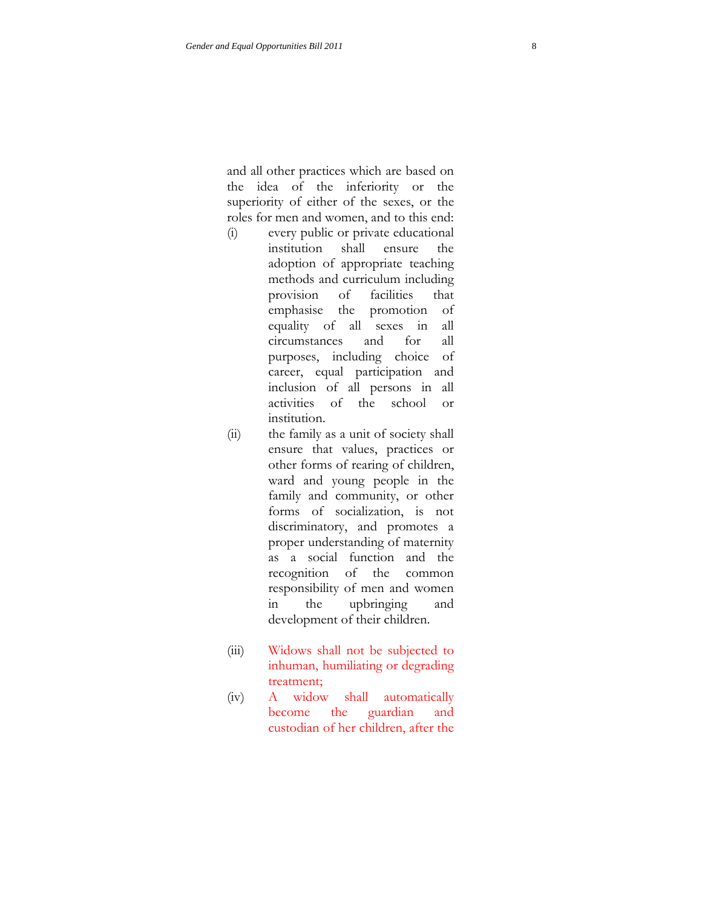and all other practices which are based on the idea of the inferiority or the superiority of either of the sexes, or the roles for men and women, and to this end:

- (i) every public or private educational institution shall ensure the adoption of appropriate teaching methods and curriculum including provision of facilities that emphasise the promotion of equality of all sexes in all circumstances and for all purposes, including choice of career, equal participation and inclusion of all persons in all activities of the school or institution.
- (ii) the family as a unit of society shall ensure that values, practices or other forms of rearing of children, ward and young people in the family and community, or other forms of socialization, is not discriminatory, and promotes a proper understanding of maternity as a social function and the recognition of the common responsibility of men and women in the upbringing and development of their children.
- (iii) Widows shall not be subjected to inhuman, humiliating or degrading treatment;
- (iv) A widow shall automatically become the guardian and custodian of her children, after the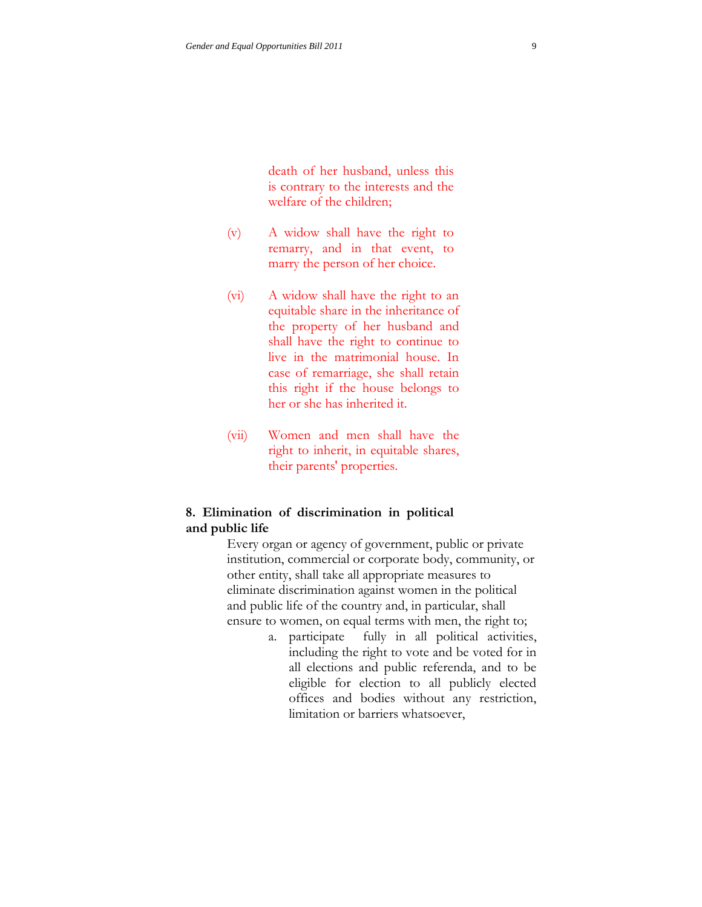death of her husband, unless this is contrary to the interests and the welfare of the children;

- (v) A widow shall have the right to remarry, and in that event, to marry the person of her choice.
- (vi) A widow shall have the right to an equitable share in the inheritance of the property of her husband and shall have the right to continue to live in the matrimonial house. In case of remarriage, she shall retain this right if the house belongs to her or she has inherited it.
- (vii) Women and men shall have the right to inherit, in equitable shares, their parents' properties.

# **8. Elimination of discrimination in political and public life**

Every organ or agency of government, public or private institution, commercial or corporate body, community, or other entity, shall take all appropriate measures to eliminate discrimination against women in the political and public life of the country and, in particular, shall ensure to women, on equal terms with men, the right to;

> a. participate fully in all political activities, including the right to vote and be voted for in all elections and public referenda, and to be eligible for election to all publicly elected offices and bodies without any restriction, limitation or barriers whatsoever,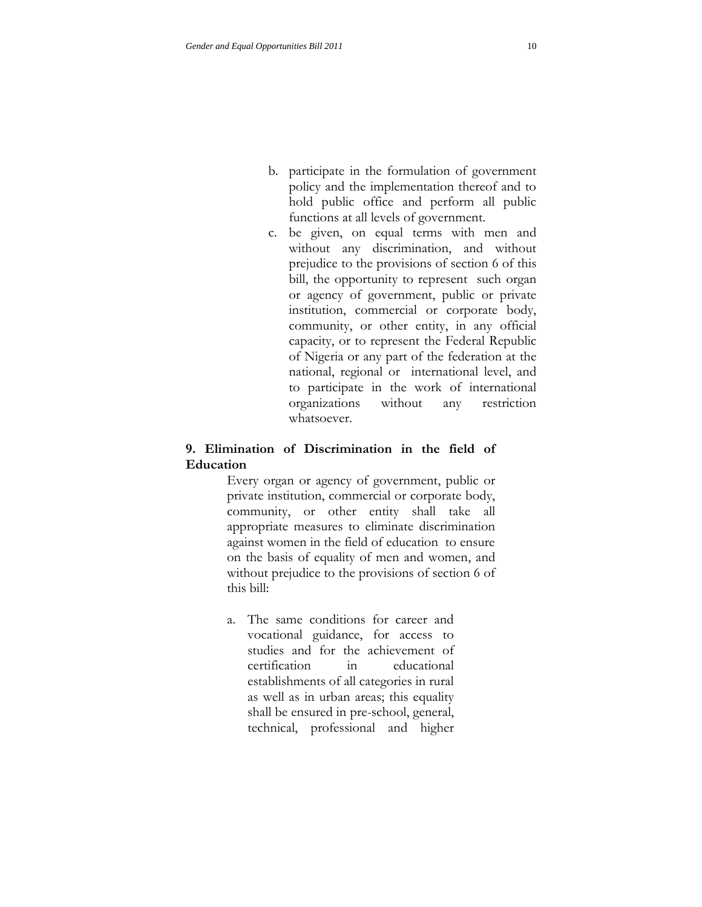- b. participate in the formulation of government policy and the implementation thereof and to hold public office and perform all public functions at all levels of government.
- c. be given, on equal terms with men and without any discrimination, and without prejudice to the provisions of section 6 of this bill, the opportunity to represent such organ or agency of government, public or private institution, commercial or corporate body, community, or other entity, in any official capacity, or to represent the Federal Republic of Nigeria or any part of the federation at the national, regional or international level, and to participate in the work of international organizations without any restriction whatsoever.

# **9. Elimination of Discrimination in the field of Education**

Every organ or agency of government, public or private institution, commercial or corporate body, community, or other entity shall take all appropriate measures to eliminate discrimination against women in the field of education to ensure on the basis of equality of men and women, and without prejudice to the provisions of section 6 of this bill:

a. The same conditions for career and vocational guidance, for access to studies and for the achievement of certification in educational establishments of all categories in rural as well as in urban areas; this equality shall be ensured in pre-school, general, technical, professional and higher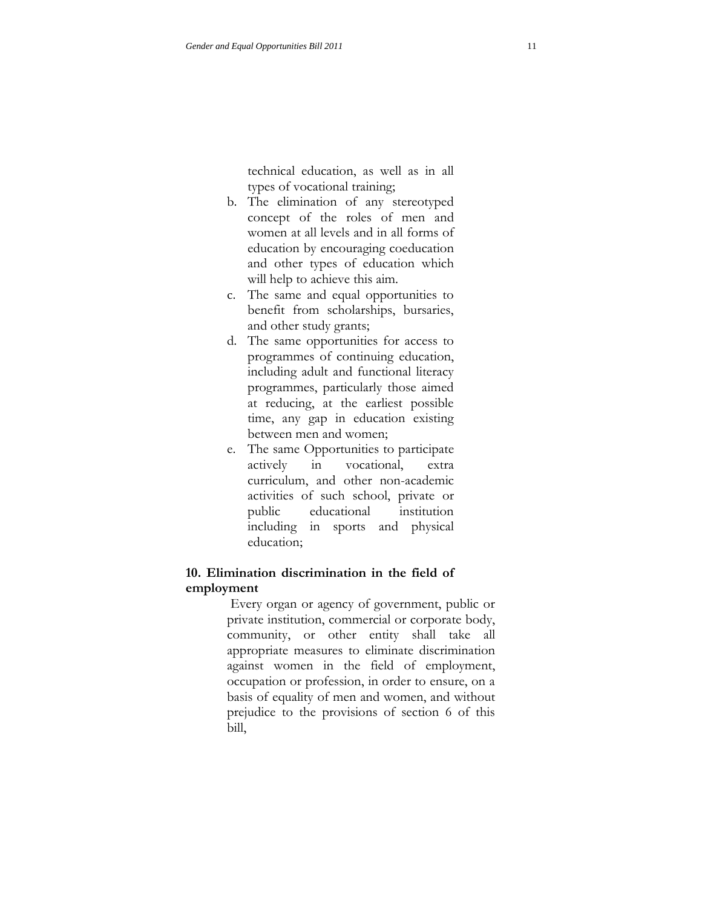technical education, as well as in all types of vocational training;

- b. The elimination of any stereotyped concept of the roles of men and women at all levels and in all forms of education by encouraging coeducation and other types of education which will help to achieve this aim.
- c. The same and equal opportunities to benefit from scholarships, bursaries, and other study grants;
- d. The same opportunities for access to programmes of continuing education, including adult and functional literacy programmes, particularly those aimed at reducing, at the earliest possible time, any gap in education existing between men and women;
- e. The same Opportunities to participate actively in vocational, extra curriculum, and other non-academic activities of such school, private or public educational institution including in sports and physical education;

## **10. Elimination discrimination in the field of employment**

Every organ or agency of government, public or private institution, commercial or corporate body, community, or other entity shall take all appropriate measures to eliminate discrimination against women in the field of employment, occupation or profession, in order to ensure, on a basis of equality of men and women, and without prejudice to the provisions of section 6 of this bill,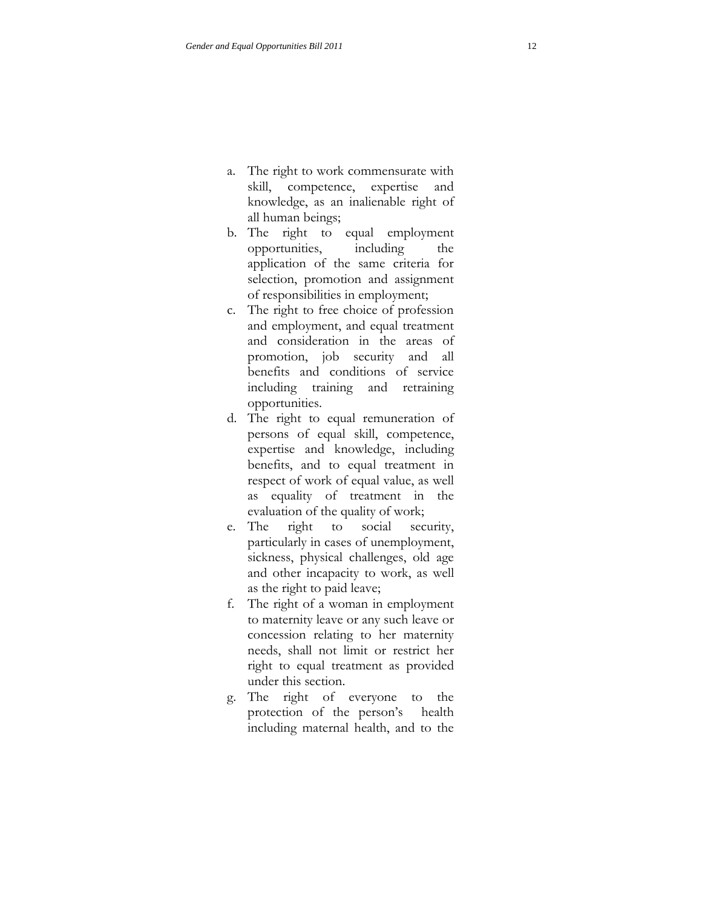- a. The right to work commensurate with skill, competence, expertise and knowledge, as an inalienable right of all human beings;
- b. The right to equal employment opportunities, including the application of the same criteria for selection, promotion and assignment of responsibilities in employment;
- c. The right to free choice of profession and employment, and equal treatment and consideration in the areas of promotion, job security and all benefits and conditions of service including training and retraining opportunities.
- d. The right to equal remuneration of persons of equal skill, competence, expertise and knowledge, including benefits, and to equal treatment in respect of work of equal value, as well as equality of treatment in the evaluation of the quality of work;
- e. The right to social security, particularly in cases of unemployment, sickness, physical challenges, old age and other incapacity to work, as well as the right to paid leave;
- f. The right of a woman in employment to maternity leave or any such leave or concession relating to her maternity needs, shall not limit or restrict her right to equal treatment as provided under this section.
- g. The right of everyone to the protection of the person's health including maternal health, and to the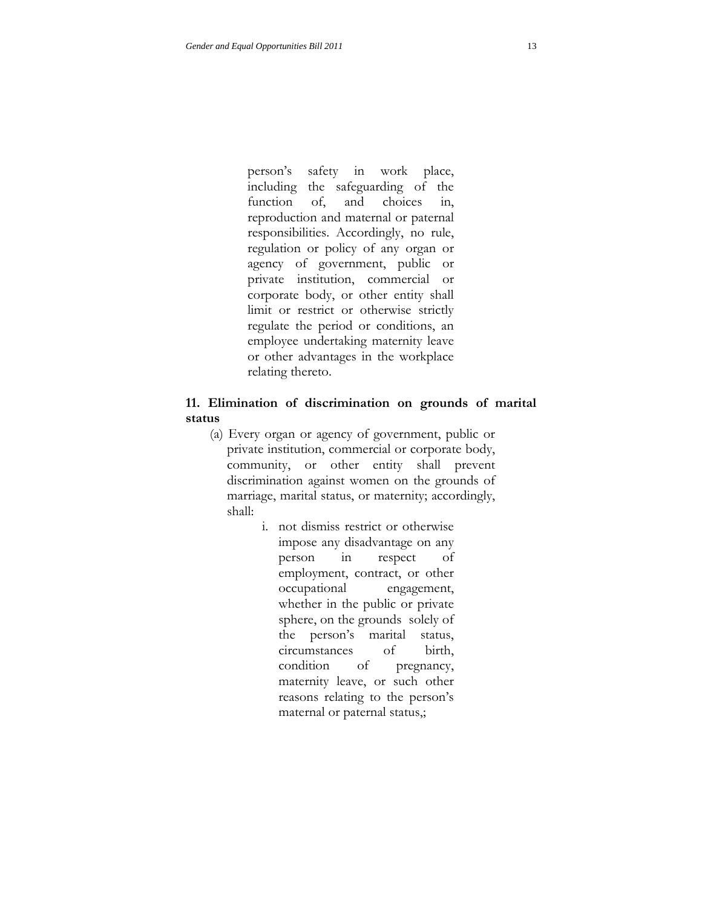person's safety in work place, including the safeguarding of the function of, and choices in, reproduction and maternal or paternal responsibilities. Accordingly, no rule, regulation or policy of any organ or agency of government, public or private institution, commercial or corporate body, or other entity shall limit or restrict or otherwise strictly regulate the period or conditions, an employee undertaking maternity leave or other advantages in the workplace relating thereto.

# **11. Elimination of discrimination on grounds of marital status**

- (a) Every organ or agency of government, public or private institution, commercial or corporate body, community, or other entity shall prevent discrimination against women on the grounds of marriage, marital status, or maternity; accordingly, shall:
	- i. not dismiss restrict or otherwise impose any disadvantage on any person in respect of employment, contract, or other occupational engagement, whether in the public or private sphere, on the grounds solely of the person's marital status, circumstances of birth, condition of pregnancy, maternity leave, or such other reasons relating to the person's maternal or paternal status,;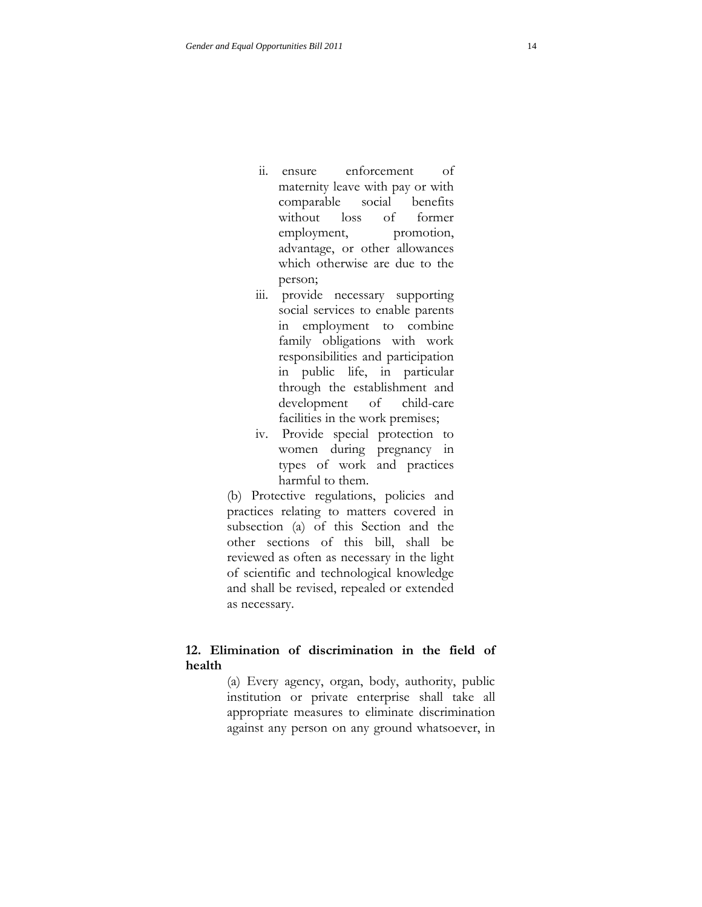- ii. ensure enforcement of maternity leave with pay or with comparable social benefits without loss of former employment, promotion, advantage, or other allowances which otherwise are due to the person;
- iii. provide necessary supporting social services to enable parents in employment to combine family obligations with work responsibilities and participation in public life, in particular through the establishment and development of child-care facilities in the work premises;
- iv. Provide special protection to women during pregnancy in types of work and practices harmful to them.

(b) Protective regulations, policies and practices relating to matters covered in subsection (a) of this Section and the other sections of this bill, shall be reviewed as often as necessary in the light of scientific and technological knowledge and shall be revised, repealed or extended as necessary.

# **12. Elimination of discrimination in the field of health**

(a) Every agency, organ, body, authority, public institution or private enterprise shall take all appropriate measures to eliminate discrimination against any person on any ground whatsoever, in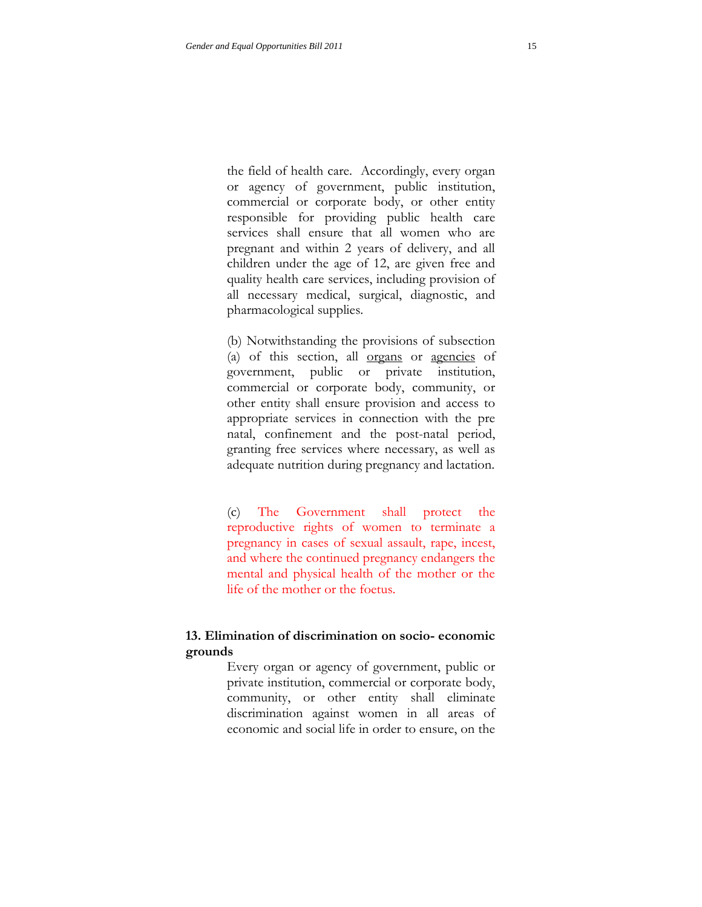the field of health care. Accordingly, every organ or agency of government, public institution, commercial or corporate body, or other entity responsible for providing public health care services shall ensure that all women who are pregnant and within 2 years of delivery, and all children under the age of 12, are given free and quality health care services, including provision of all necessary medical, surgical, diagnostic, and pharmacological supplies.

(b) Notwithstanding the provisions of subsection (a) of this section, all organs or agencies of government, public or private institution, commercial or corporate body, community, or other entity shall ensure provision and access to appropriate services in connection with the pre natal, confinement and the post-natal period, granting free services where necessary, as well as adequate nutrition during pregnancy and lactation.

(c) The Government shall protect the reproductive rights of women to terminate a pregnancy in cases of sexual assault, rape, incest, and where the continued pregnancy endangers the mental and physical health of the mother or the life of the mother or the foetus.

# **13. Elimination of discrimination on socio- economic grounds**

Every organ or agency of government, public or private institution, commercial or corporate body, community, or other entity shall eliminate discrimination against women in all areas of economic and social life in order to ensure, on the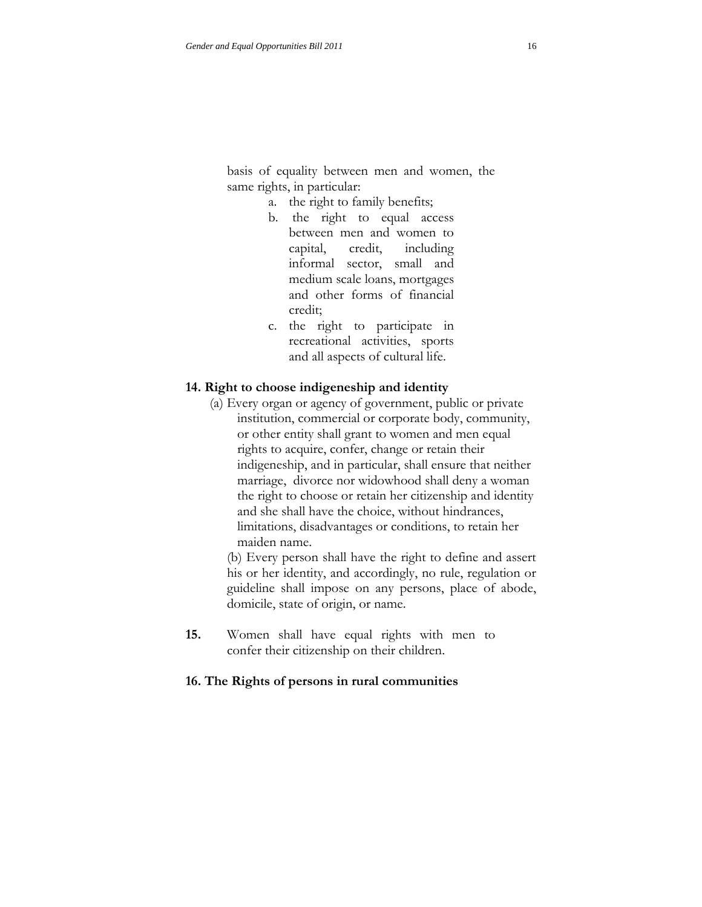basis of equality between men and women, the same rights, in particular:

- a. the right to family benefits;
- b. the right to equal access between men and women to capital, credit, including informal sector, small and medium scale loans, mortgages and other forms of financial credit;
- c. the right to participate in recreational activities, sports and all aspects of cultural life.

#### **14. Right to choose indigeneship and identity**

 (a) Every organ or agency of government, public or private institution, commercial or corporate body, community, or other entity shall grant to women and men equal rights to acquire, confer, change or retain their indigeneship, and in particular, shall ensure that neither marriage, divorce nor widowhood shall deny a woman the right to choose or retain her citizenship and identity and she shall have the choice, without hindrances, limitations, disadvantages or conditions, to retain her maiden name.

(b) Every person shall have the right to define and assert his or her identity, and accordingly, no rule, regulation or guideline shall impose on any persons, place of abode, domicile, state of origin, or name.

**15.** Women shall have equal rights with men to confer their citizenship on their children.

#### **16. The Rights of persons in rural communities**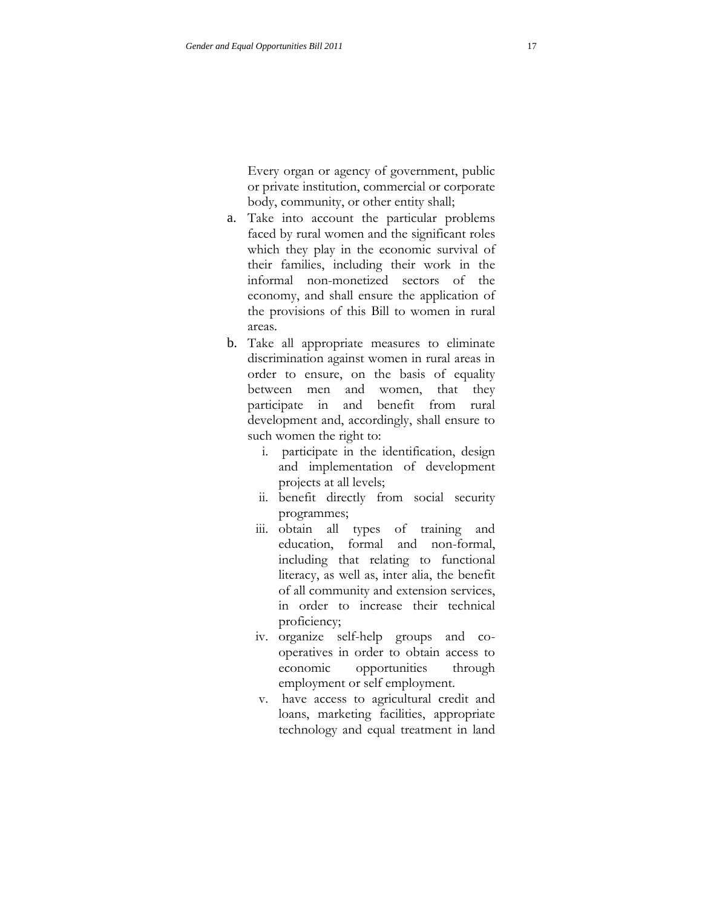Every organ or agency of government, public or private institution, commercial or corporate body, community, or other entity shall;

- a. Take into account the particular problems faced by rural women and the significant roles which they play in the economic survival of their families, including their work in the informal non-monetized sectors of the economy, and shall ensure the application of the provisions of this Bill to women in rural areas.
- b. Take all appropriate measures to eliminate discrimination against women in rural areas in order to ensure, on the basis of equality between men and women, that they participate in and benefit from rural development and, accordingly, shall ensure to such women the right to:
	- i. participate in the identification, design and implementation of development projects at all levels;
	- ii. benefit directly from social security programmes;
	- iii. obtain all types of training and education, formal and non-formal, including that relating to functional literacy, as well as, inter alia, the benefit of all community and extension services, in order to increase their technical proficiency;
	- iv. organize self-help groups and cooperatives in order to obtain access to economic opportunities through employment or self employment.
	- v. have access to agricultural credit and loans, marketing facilities, appropriate technology and equal treatment in land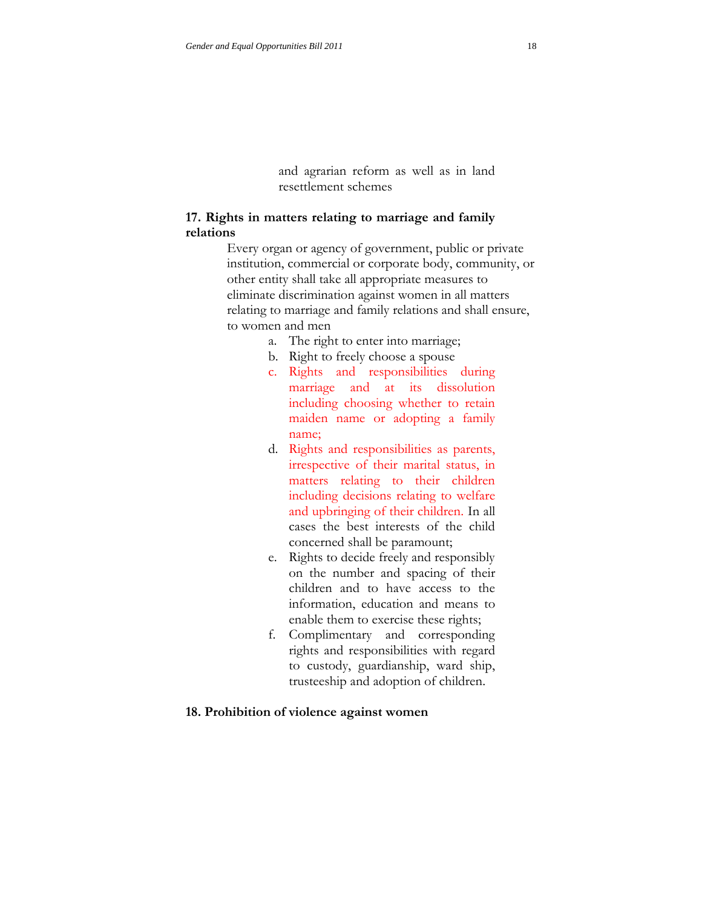and agrarian reform as well as in land resettlement schemes

## **17. Rights in matters relating to marriage and family relations**

Every organ or agency of government, public or private institution, commercial or corporate body, community, or other entity shall take all appropriate measures to eliminate discrimination against women in all matters relating to marriage and family relations and shall ensure, to women and men

- a. The right to enter into marriage;
- b. Right to freely choose a spouse
- c. Rights and responsibilities during marriage and at its dissolution including choosing whether to retain maiden name or adopting a family name;
- d. Rights and responsibilities as parents, irrespective of their marital status, in matters relating to their children including decisions relating to welfare and upbringing of their children. In all cases the best interests of the child concerned shall be paramount;
- e. Rights to decide freely and responsibly on the number and spacing of their children and to have access to the information, education and means to enable them to exercise these rights;
- f. Complimentary and corresponding rights and responsibilities with regard to custody, guardianship, ward ship, trusteeship and adoption of children.

#### **18. Prohibition of violence against women**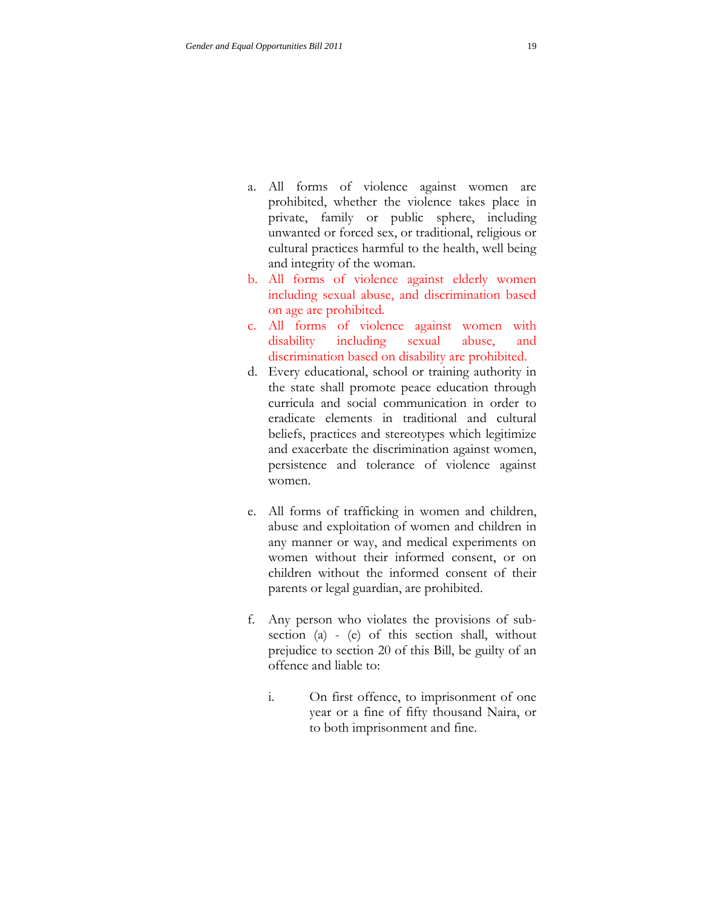- a. All forms of violence against women are prohibited, whether the violence takes place in private, family or public sphere, including unwanted or forced sex, or traditional, religious or cultural practices harmful to the health, well being and integrity of the woman.
- b. All forms of violence against elderly women including sexual abuse, and discrimination based on age are prohibited.
- c. All forms of violence against women with disability including sexual abuse, and discrimination based on disability are prohibited.
- d. Every educational, school or training authority in the state shall promote peace education through curricula and social communication in order to eradicate elements in traditional and cultural beliefs, practices and stereotypes which legitimize and exacerbate the discrimination against women, persistence and tolerance of violence against women.
- e. All forms of trafficking in women and children, abuse and exploitation of women and children in any manner or way, and medical experiments on women without their informed consent, or on children without the informed consent of their parents or legal guardian, are prohibited.
- f. Any person who violates the provisions of subsection (a) - (e) of this section shall, without prejudice to section 20 of this Bill, be guilty of an offence and liable to:
	- i. On first offence, to imprisonment of one year or a fine of fifty thousand Naira, or to both imprisonment and fine.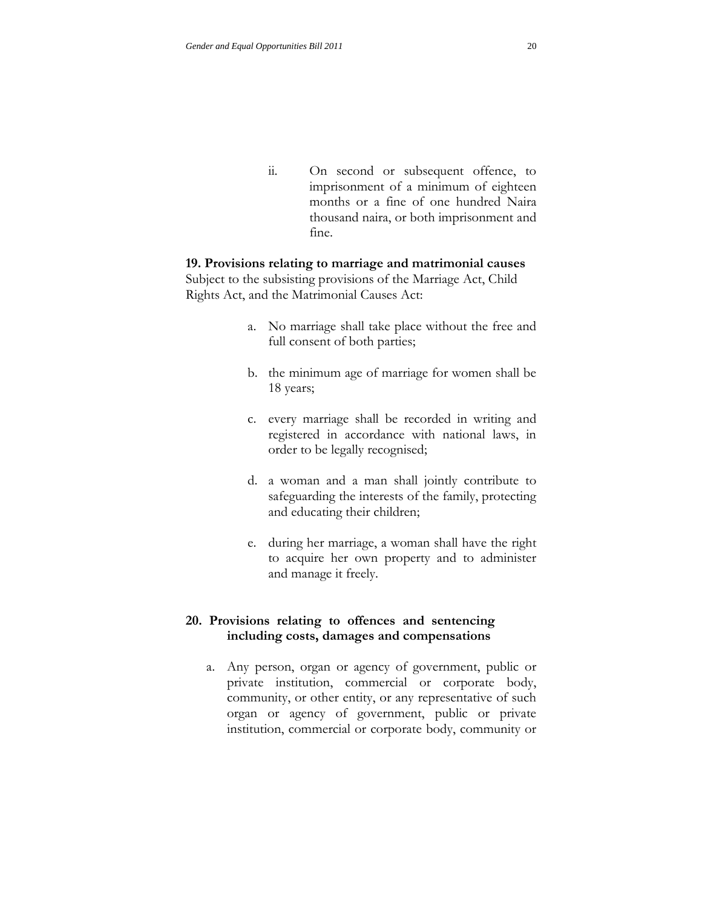ii. On second or subsequent offence, to imprisonment of a minimum of eighteen months or a fine of one hundred Naira thousand naira, or both imprisonment and fine.

# **19. Provisions relating to marriage and matrimonial causes** Subject to the subsisting provisions of the Marriage Act, Child Rights Act, and the Matrimonial Causes Act:

- a. No marriage shall take place without the free and full consent of both parties;
- b. the minimum age of marriage for women shall be 18 years;
- c. every marriage shall be recorded in writing and registered in accordance with national laws, in order to be legally recognised;
- d. a woman and a man shall jointly contribute to safeguarding the interests of the family, protecting and educating their children;
- e. during her marriage, a woman shall have the right to acquire her own property and to administer and manage it freely.

# **20. Provisions relating to offences and sentencing including costs, damages and compensations**

a. Any person, organ or agency of government, public or private institution, commercial or corporate body, community, or other entity, or any representative of such organ or agency of government, public or private institution, commercial or corporate body, community or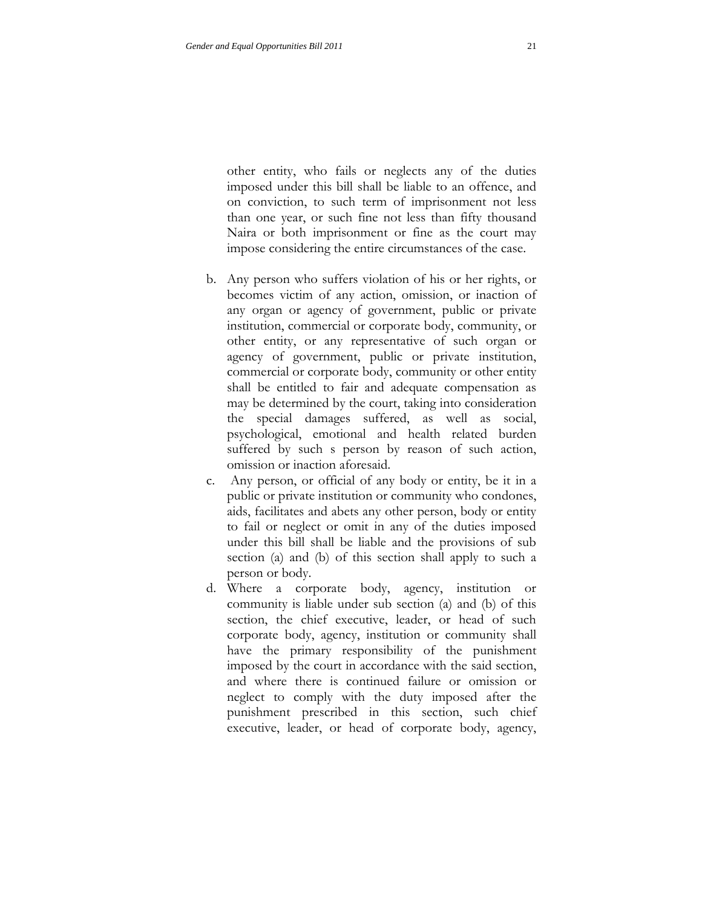other entity, who fails or neglects any of the duties imposed under this bill shall be liable to an offence, and on conviction, to such term of imprisonment not less than one year, or such fine not less than fifty thousand Naira or both imprisonment or fine as the court may impose considering the entire circumstances of the case.

- b. Any person who suffers violation of his or her rights, or becomes victim of any action, omission, or inaction of any organ or agency of government, public or private institution, commercial or corporate body, community, or other entity, or any representative of such organ or agency of government, public or private institution, commercial or corporate body, community or other entity shall be entitled to fair and adequate compensation as may be determined by the court, taking into consideration the special damages suffered, as well as social, psychological, emotional and health related burden suffered by such s person by reason of such action, omission or inaction aforesaid.
- c. Any person, or official of any body or entity, be it in a public or private institution or community who condones, aids, facilitates and abets any other person, body or entity to fail or neglect or omit in any of the duties imposed under this bill shall be liable and the provisions of sub section (a) and (b) of this section shall apply to such a person or body.
- d. Where a corporate body, agency, institution or community is liable under sub section (a) and (b) of this section, the chief executive, leader, or head of such corporate body, agency, institution or community shall have the primary responsibility of the punishment imposed by the court in accordance with the said section, and where there is continued failure or omission or neglect to comply with the duty imposed after the punishment prescribed in this section, such chief executive, leader, or head of corporate body, agency,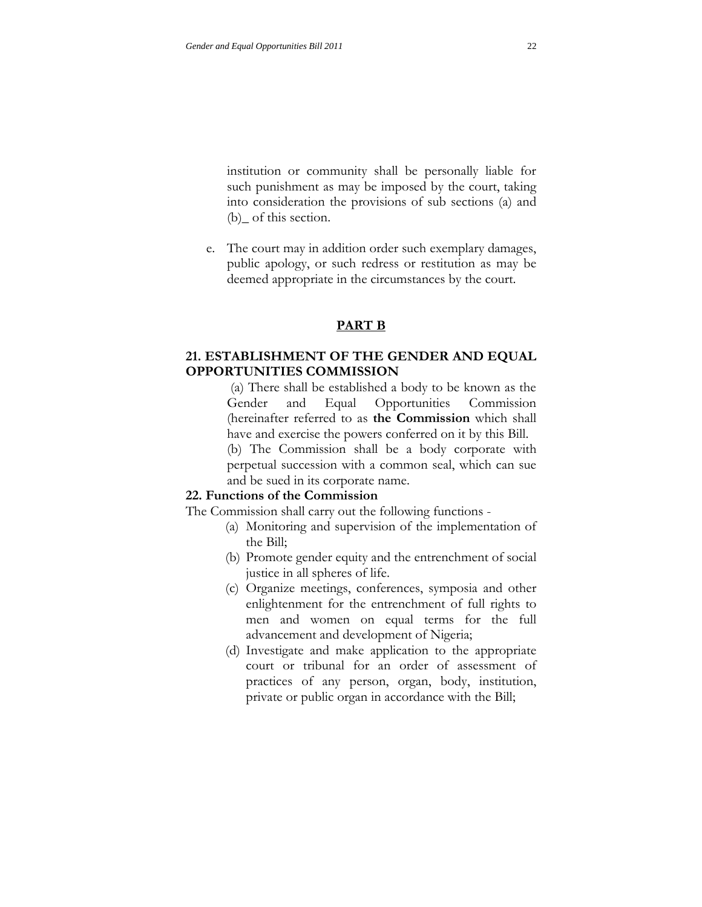institution or community shall be personally liable for such punishment as may be imposed by the court, taking into consideration the provisions of sub sections (a) and (b) of this section.

e. The court may in addition order such exemplary damages, public apology, or such redress or restitution as may be deemed appropriate in the circumstances by the court.

### **PART B**

## **21. ESTABLISHMENT OF THE GENDER AND EQUAL OPPORTUNITIES COMMISSION**

(a) There shall be established a body to be known as the Gender and Equal Opportunities Commission (hereinafter referred to as **the Commission** which shall have and exercise the powers conferred on it by this Bill. (b) The Commission shall be a body corporate with perpetual succession with a common seal, which can sue

# **22. Functions of the Commission**

The Commission shall carry out the following functions -

and be sued in its corporate name.

- (a) Monitoring and supervision of the implementation of the Bill;
- (b) Promote gender equity and the entrenchment of social justice in all spheres of life.
- (c) Organize meetings, conferences, symposia and other enlightenment for the entrenchment of full rights to men and women on equal terms for the full advancement and development of Nigeria;
- (d) Investigate and make application to the appropriate court or tribunal for an order of assessment of practices of any person, organ, body, institution, private or public organ in accordance with the Bill;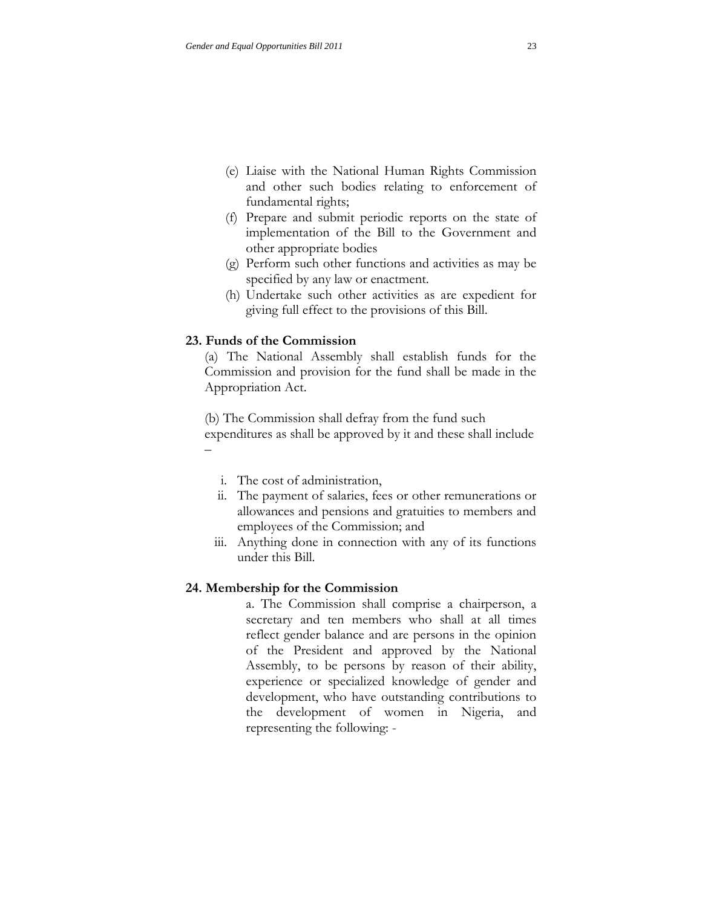- (e) Liaise with the National Human Rights Commission and other such bodies relating to enforcement of fundamental rights;
- (f) Prepare and submit periodic reports on the state of implementation of the Bill to the Government and other appropriate bodies
- (g) Perform such other functions and activities as may be specified by any law or enactment.
- (h) Undertake such other activities as are expedient for giving full effect to the provisions of this Bill.

### **23. Funds of the Commission**

(a) The National Assembly shall establish funds for the Commission and provision for the fund shall be made in the Appropriation Act.

(b) The Commission shall defray from the fund such expenditures as shall be approved by it and these shall include –

- i. The cost of administration,
- ii. The payment of salaries, fees or other remunerations or allowances and pensions and gratuities to members and employees of the Commission; and
- iii. Anything done in connection with any of its functions under this Bill.

### **24. Membership for the Commission**

a. The Commission shall comprise a chairperson, a secretary and ten members who shall at all times reflect gender balance and are persons in the opinion of the President and approved by the National Assembly, to be persons by reason of their ability, experience or specialized knowledge of gender and development, who have outstanding contributions to the development of women in Nigeria, and representing the following: -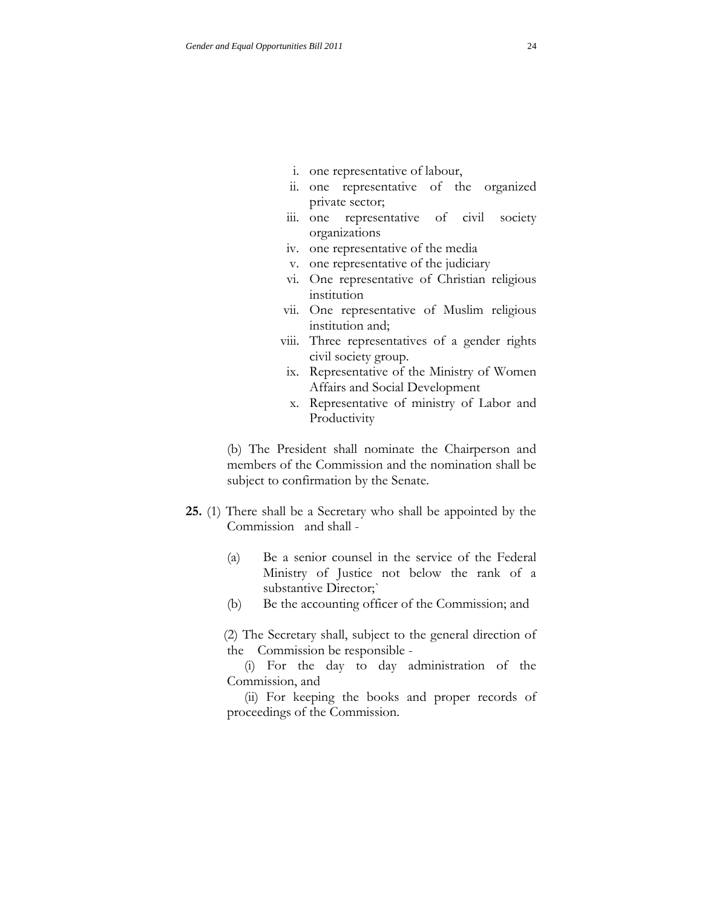- i. one representative of labour,
- ii. one representative of the organized private sector;
- iii. one representative of civil society organizations
- iv. one representative of the media
- v. one representative of the judiciary
- vi. One representative of Christian religious institution
- vii. One representative of Muslim religious institution and;
- viii. Three representatives of a gender rights civil society group.
- ix. Representative of the Ministry of Women Affairs and Social Development
- x. Representative of ministry of Labor and Productivity

(b) The President shall nominate the Chairperson and members of the Commission and the nomination shall be subject to confirmation by the Senate.

- **25.** (1) There shall be a Secretary who shall be appointed by the Commission and shall -
	- (a) Be a senior counsel in the service of the Federal Ministry of Justice not below the rank of a substantive Director;`
	- (b) Be the accounting officer of the Commission; and

 (2) The Secretary shall, subject to the general direction of the Commission be responsible -

 (i) For the day to day administration of the Commission, and

 (ii) For keeping the books and proper records of proceedings of the Commission.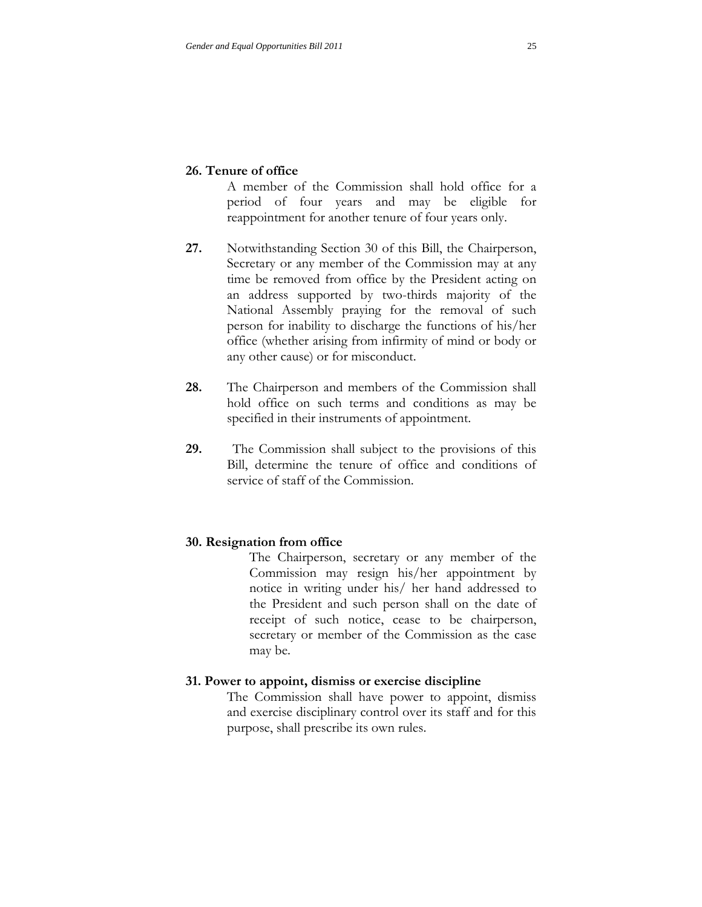A member of the Commission shall hold office for a period of four years and may be eligible for reappointment for another tenure of four years only.

- **27.** Notwithstanding Section 30 of this Bill, the Chairperson, Secretary or any member of the Commission may at any time be removed from office by the President acting on an address supported by two-thirds majority of the National Assembly praying for the removal of such person for inability to discharge the functions of his/her office (whether arising from infirmity of mind or body or any other cause) or for misconduct.
- **28.** The Chairperson and members of the Commission shall hold office on such terms and conditions as may be specified in their instruments of appointment.
- **29.** The Commission shall subject to the provisions of this Bill, determine the tenure of office and conditions of service of staff of the Commission.

## **30. Resignation from office**

The Chairperson, secretary or any member of the Commission may resign his/her appointment by notice in writing under his/ her hand addressed to the President and such person shall on the date of receipt of such notice, cease to be chairperson, secretary or member of the Commission as the case may be.

### **31. Power to appoint, dismiss or exercise discipline**

The Commission shall have power to appoint, dismiss and exercise disciplinary control over its staff and for this purpose, shall prescribe its own rules.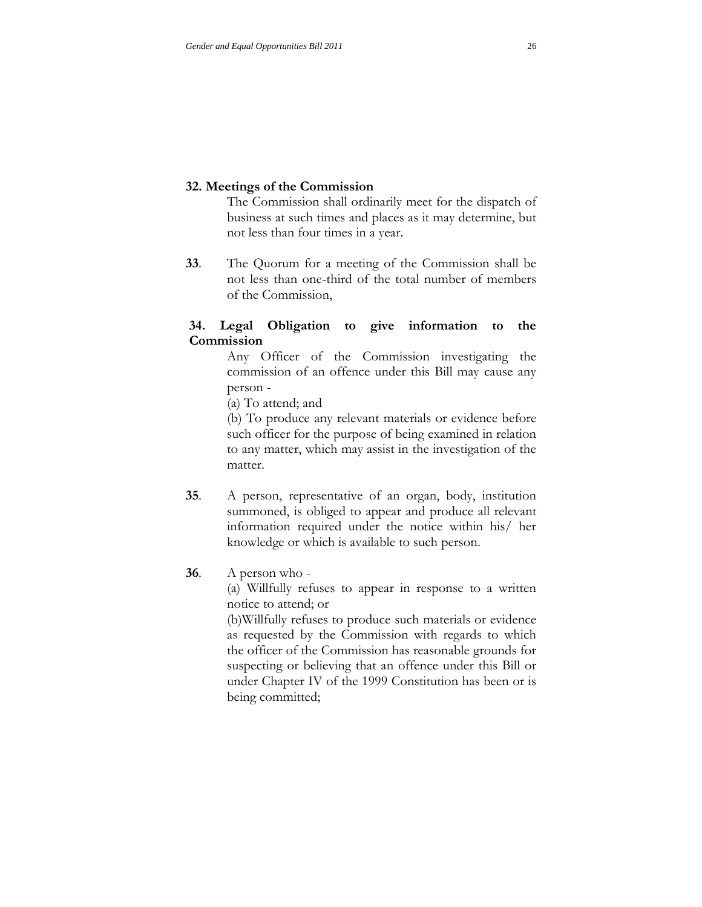## **32. Meetings of the Commission**

The Commission shall ordinarily meet for the dispatch of business at such times and places as it may determine, but not less than four times in a year.

**33**. The Quorum for a meeting of the Commission shall be not less than one-third of the total number of members of the Commission,

## **34. Legal Obligation to give information to the Commission**

Any Officer of the Commission investigating the commission of an offence under this Bill may cause any person -

(a) To attend; and

(b) To produce any relevant materials or evidence before such officer for the purpose of being examined in relation to any matter, which may assist in the investigation of the matter.

- **35**. A person, representative of an organ, body, institution summoned, is obliged to appear and produce all relevant information required under the notice within his/ her knowledge or which is available to such person.
- **36**. A person who -

(a) Willfully refuses to appear in response to a written notice to attend; or

(b)Willfully refuses to produce such materials or evidence as requested by the Commission with regards to which the officer of the Commission has reasonable grounds for suspecting or believing that an offence under this Bill or under Chapter IV of the 1999 Constitution has been or is being committed;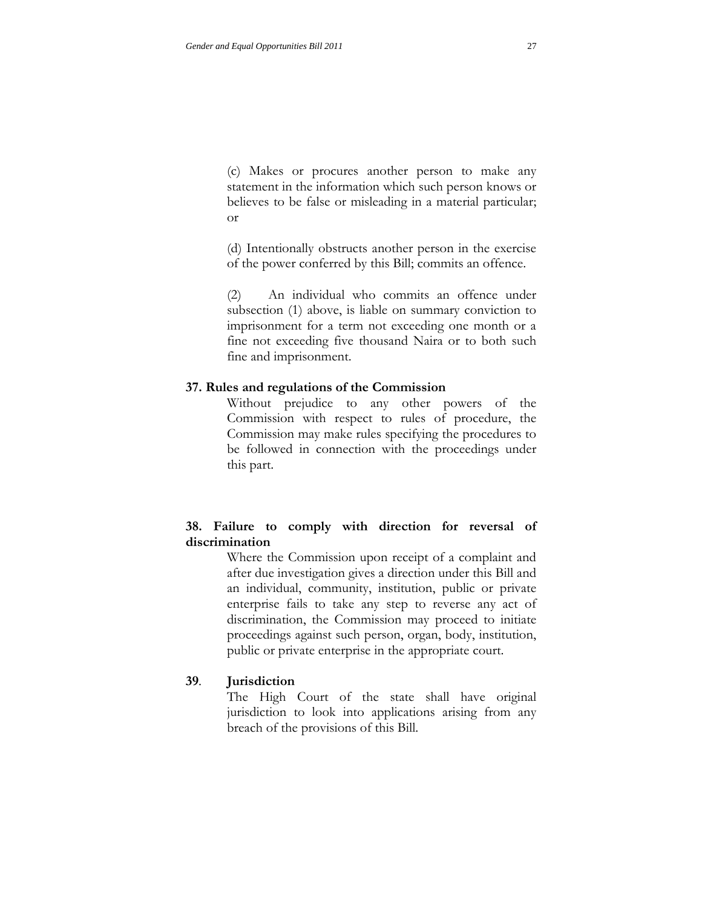(c) Makes or procures another person to make any statement in the information which such person knows or believes to be false or misleading in a material particular; or

(d) Intentionally obstructs another person in the exercise of the power conferred by this Bill; commits an offence.

(2) An individual who commits an offence under subsection (1) above, is liable on summary conviction to imprisonment for a term not exceeding one month or a fine not exceeding five thousand Naira or to both such fine and imprisonment.

### **37. Rules and regulations of the Commission**

Without prejudice to any other powers of the Commission with respect to rules of procedure, the Commission may make rules specifying the procedures to be followed in connection with the proceedings under this part.

# **38. Failure to comply with direction for reversal of discrimination**

Where the Commission upon receipt of a complaint and after due investigation gives a direction under this Bill and an individual, community, institution, public or private enterprise fails to take any step to reverse any act of discrimination, the Commission may proceed to initiate proceedings against such person, organ, body, institution, public or private enterprise in the appropriate court.

### **39**. **Jurisdiction**

The High Court of the state shall have original jurisdiction to look into applications arising from any breach of the provisions of this Bill.